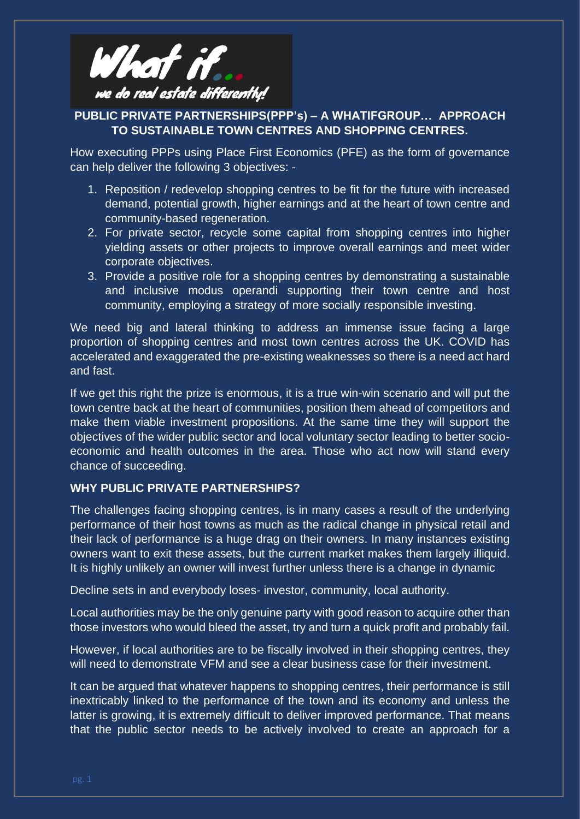

# **PUBLIC PRIVATE PARTNERSHIPS(PPP's) – A WHATIFGROUP… APPROACH TO SUSTAINABLE TOWN CENTRES AND SHOPPING CENTRES.**

How executing PPPs using Place First Economics (PFE) as the form of governance can help deliver the following 3 objectives: -

- 1. Reposition / redevelop shopping centres to be fit for the future with increased demand, potential growth, higher earnings and at the heart of town centre and community-based regeneration.
- 2. For private sector, recycle some capital from shopping centres into higher yielding assets or other projects to improve overall earnings and meet wider corporate objectives.
- 3. Provide a positive role for a shopping centres by demonstrating a sustainable and inclusive modus operandi supporting their town centre and host community, employing a strategy of more socially responsible investing.

We need big and lateral thinking to address an immense issue facing a large proportion of shopping centres and most town centres across the UK. COVID has accelerated and exaggerated the pre-existing weaknesses so there is a need act hard and fast.

If we get this right the prize is enormous, it is a true win-win scenario and will put the town centre back at the heart of communities, position them ahead of competitors and make them viable investment propositions. At the same time they will support the objectives of the wider public sector and local voluntary sector leading to better socioeconomic and health outcomes in the area. Those who act now will stand every chance of succeeding.

# **WHY PUBLIC PRIVATE PARTNERSHIPS?**

The challenges facing shopping centres, is in many cases a result of the underlying performance of their host towns as much as the radical change in physical retail and their lack of performance is a huge drag on their owners. In many instances existing owners want to exit these assets, but the current market makes them largely illiquid. It is highly unlikely an owner will invest further unless there is a change in dynamic

Decline sets in and everybody loses- investor, community, local authority.

Local authorities may be the only genuine party with good reason to acquire other than those investors who would bleed the asset, try and turn a quick profit and probably fail.

However, if local authorities are to be fiscally involved in their shopping centres, they will need to demonstrate VFM and see a clear business case for their investment.

It can be argued that whatever happens to shopping centres, their performance is still inextricably linked to the performance of the town and its economy and unless the latter is growing, it is extremely difficult to deliver improved performance. That means that the public sector needs to be actively involved to create an approach for a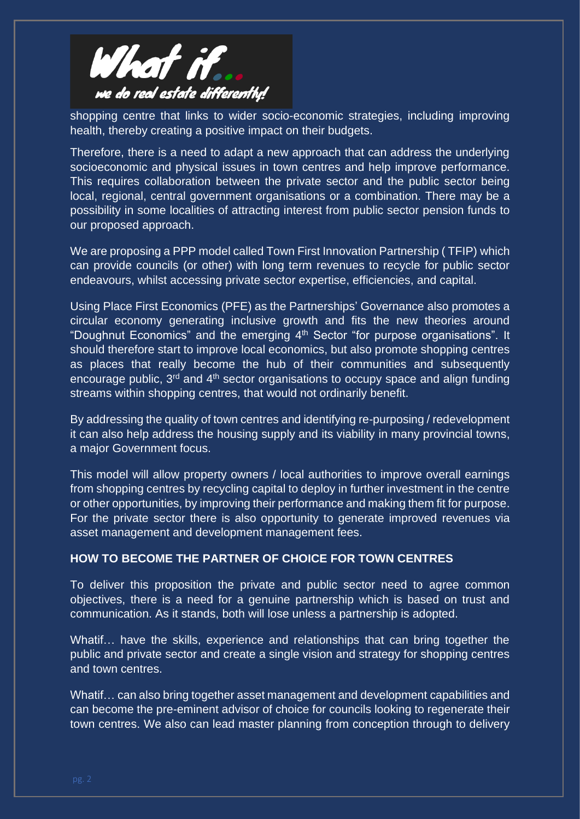

shopping centre that links to wider socio-economic strategies, including improving health, thereby creating a positive impact on their budgets.

Therefore, there is a need to adapt a new approach that can address the underlying socioeconomic and physical issues in town centres and help improve performance. This requires collaboration between the private sector and the public sector being local, regional, central government organisations or a combination. There may be a possibility in some localities of attracting interest from public sector pension funds to our proposed approach.

We are proposing a PPP model called Town First Innovation Partnership ( TFIP) which can provide councils (or other) with long term revenues to recycle for public sector endeavours, whilst accessing private sector expertise, efficiencies, and capital.

Using Place First Economics (PFE) as the Partnerships' Governance also promotes a circular economy generating inclusive growth and fits the new theories around "Doughnut Economics" and the emerging  $4<sup>th</sup>$  Sector "for purpose organisations". It should therefore start to improve local economics, but also promote shopping centres as places that really become the hub of their communities and subsequently encourage public,  $3<sup>rd</sup>$  and  $4<sup>th</sup>$  sector organisations to occupy space and align funding streams within shopping centres, that would not ordinarily benefit.

By addressing the quality of town centres and identifying re-purposing / redevelopment it can also help address the housing supply and its viability in many provincial towns, a major Government focus.

This model will allow property owners / local authorities to improve overall earnings from shopping centres by recycling capital to deploy in further investment in the centre or other opportunities, by improving their performance and making them fit for purpose. For the private sector there is also opportunity to generate improved revenues via asset management and development management fees.

# **HOW TO BECOME THE PARTNER OF CHOICE FOR TOWN CENTRES**

To deliver this proposition the private and public sector need to agree common objectives, there is a need for a genuine partnership which is based on trust and communication. As it stands, both will lose unless a partnership is adopted.

Whatif… have the skills, experience and relationships that can bring together the public and private sector and create a single vision and strategy for shopping centres and town centres.

Whatif… can also bring together asset management and development capabilities and can become the pre-eminent advisor of choice for councils looking to regenerate their town centres. We also can lead master planning from conception through to delivery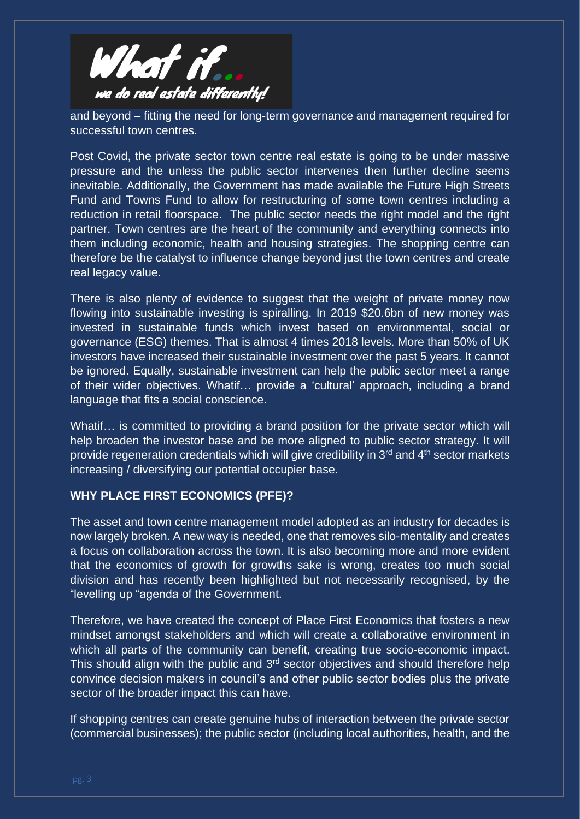

and beyond – fitting the need for long-term governance and management required for successful town centres.

Post Covid, the private sector town centre real estate is going to be under massive pressure and the unless the public sector intervenes then further decline seems inevitable. Additionally, the Government has made available the Future High Streets Fund and Towns Fund to allow for restructuring of some town centres including a reduction in retail floorspace. The public sector needs the right model and the right partner. Town centres are the heart of the community and everything connects into them including economic, health and housing strategies. The shopping centre can therefore be the catalyst to influence change beyond just the town centres and create real legacy value.

There is also plenty of evidence to suggest that the weight of private money now flowing into sustainable investing is spiralling. In 2019 \$20.6bn of new money was invested in sustainable funds which invest based on environmental, social or governance (ESG) themes. That is almost 4 times 2018 levels. More than 50% of UK investors have increased their sustainable investment over the past 5 years. It cannot be ignored. Equally, sustainable investment can help the public sector meet a range of their wider objectives. Whatif… provide a 'cultural' approach, including a brand language that fits a social conscience.

Whatif... is committed to providing a brand position for the private sector which will help broaden the investor base and be more aligned to public sector strategy. It will provide regeneration credentials which will give credibility in  $3<sup>rd</sup>$  and  $4<sup>th</sup>$  sector markets increasing / diversifying our potential occupier base.

# **WHY PLACE FIRST ECONOMICS (PFE)?**

The asset and town centre management model adopted as an industry for decades is now largely broken. A new way is needed, one that removes silo-mentality and creates a focus on collaboration across the town. It is also becoming more and more evident that the economics of growth for growths sake is wrong, creates too much social division and has recently been highlighted but not necessarily recognised, by the "levelling up "agenda of the Government.

Therefore, we have created the concept of Place First Economics that fosters a new mindset amongst stakeholders and which will create a collaborative environment in which all parts of the community can benefit, creating true socio-economic impact. This should align with the public and 3<sup>rd</sup> sector objectives and should therefore help convince decision makers in council's and other public sector bodies plus the private sector of the broader impact this can have.

If shopping centres can create genuine hubs of interaction between the private sector (commercial businesses); the public sector (including local authorities, health, and the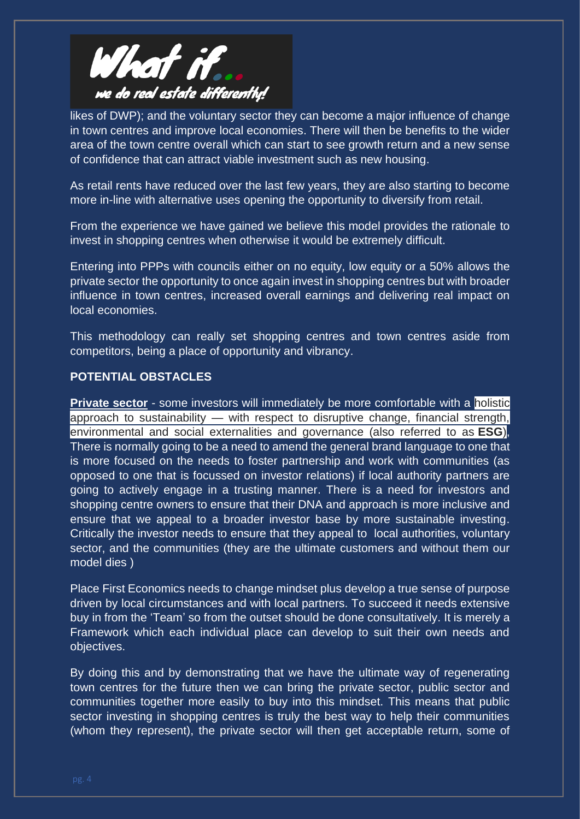

likes of DWP); and the voluntary sector they can become a major influence of change in town centres and improve local economies. There will then be benefits to the wider area of the town centre overall which can start to see growth return and a new sense of confidence that can attract viable investment such as new housing.

As retail rents have reduced over the last few years, they are also starting to become more in-line with alternative uses opening the opportunity to diversify from retail.

From the experience we have gained we believe this model provides the rationale to invest in shopping centres when otherwise it would be extremely difficult.

Entering into PPPs with councils either on no equity, low equity or a 50% allows the private sector the opportunity to once again invest in shopping centres but with broader influence in town centres, increased overall earnings and delivering real impact on local economies.

This methodology can really set shopping centres and town centres aside from competitors, being a place of opportunity and vibrancy.

## **POTENTIAL OBSTACLES**

**Private sector** - some investors will immediately be more comfortable with a **holistic** approach to sustainability — with respect to disruptive change, financial strength, environmental and social externalities and governance (also referred to as **ESG**), There is normally going to be a need to amend the general brand language to one that is more focused on the needs to foster partnership and work with communities (as opposed to one that is focussed on investor relations) if local authority partners are going to actively engage in a trusting manner. There is a need for investors and shopping centre owners to ensure that their DNA and approach is more inclusive and ensure that we appeal to a broader investor base by more sustainable investing. Critically the investor needs to ensure that they appeal to local authorities, voluntary sector, and the communities (they are the ultimate customers and without them our model dies )

Place First Economics needs to change mindset plus develop a true sense of purpose driven by local circumstances and with local partners. To succeed it needs extensive buy in from the 'Team' so from the outset should be done consultatively. It is merely a Framework which each individual place can develop to suit their own needs and objectives.

By doing this and by demonstrating that we have the ultimate way of regenerating town centres for the future then we can bring the private sector, public sector and communities together more easily to buy into this mindset. This means that public sector investing in shopping centres is truly the best way to help their communities (whom they represent), the private sector will then get acceptable return, some of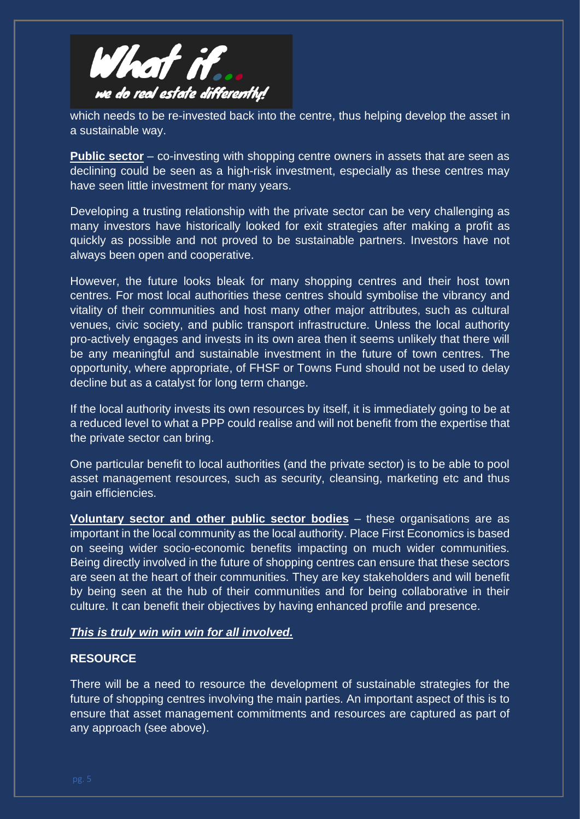

which needs to be re-invested back into the centre, thus helping develop the asset in a sustainable way.

**Public sector** – co-investing with shopping centre owners in assets that are seen as declining could be seen as a high-risk investment, especially as these centres may have seen little investment for many years.

Developing a trusting relationship with the private sector can be very challenging as many investors have historically looked for exit strategies after making a profit as quickly as possible and not proved to be sustainable partners. Investors have not always been open and cooperative.

However, the future looks bleak for many shopping centres and their host town centres. For most local authorities these centres should symbolise the vibrancy and vitality of their communities and host many other major attributes, such as cultural venues, civic society, and public transport infrastructure. Unless the local authority pro-actively engages and invests in its own area then it seems unlikely that there will be any meaningful and sustainable investment in the future of town centres. The opportunity, where appropriate, of FHSF or Towns Fund should not be used to delay decline but as a catalyst for long term change.

If the local authority invests its own resources by itself, it is immediately going to be at a reduced level to what a PPP could realise and will not benefit from the expertise that the private sector can bring.

One particular benefit to local authorities (and the private sector) is to be able to pool asset management resources, such as security, cleansing, marketing etc and thus gain efficiencies.

**Voluntary sector and other public sector bodies** – these organisations are as important in the local community as the local authority. Place First Economics is based on seeing wider socio-economic benefits impacting on much wider communities. Being directly involved in the future of shopping centres can ensure that these sectors are seen at the heart of their communities. They are key stakeholders and will benefit by being seen at the hub of their communities and for being collaborative in their culture. It can benefit their objectives by having enhanced profile and presence.

## *This is truly win win win for all involved.*

## **RESOURCE**

There will be a need to resource the development of sustainable strategies for the future of shopping centres involving the main parties. An important aspect of this is to ensure that asset management commitments and resources are captured as part of any approach (see above).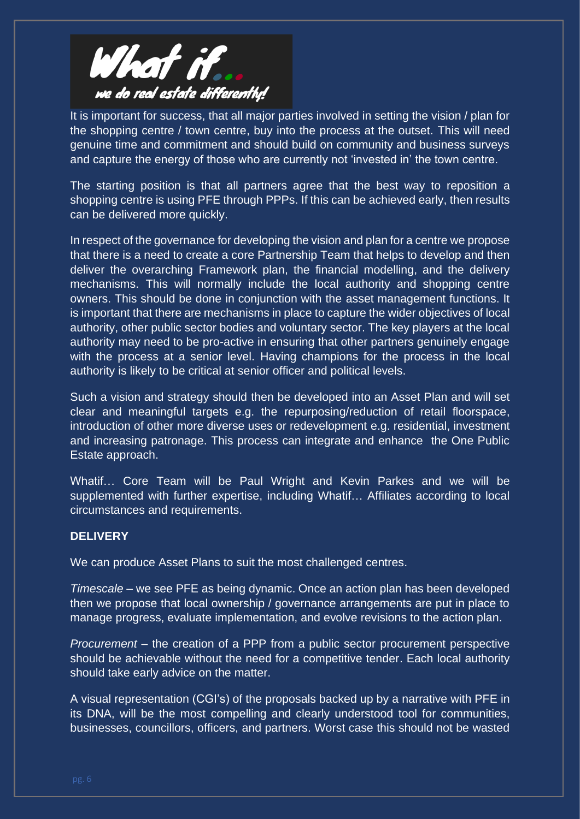

It is important for success, that all major parties involved in setting the vision / plan for the shopping centre / town centre, buy into the process at the outset. This will need genuine time and commitment and should build on community and business surveys and capture the energy of those who are currently not 'invested in' the town centre.

The starting position is that all partners agree that the best way to reposition a shopping centre is using PFE through PPPs. If this can be achieved early, then results can be delivered more quickly.

In respect of the governance for developing the vision and plan for a centre we propose that there is a need to create a core Partnership Team that helps to develop and then deliver the overarching Framework plan, the financial modelling, and the delivery mechanisms. This will normally include the local authority and shopping centre owners. This should be done in conjunction with the asset management functions. It is important that there are mechanisms in place to capture the wider objectives of local authority, other public sector bodies and voluntary sector. The key players at the local authority may need to be pro-active in ensuring that other partners genuinely engage with the process at a senior level. Having champions for the process in the local authority is likely to be critical at senior officer and political levels.

Such a vision and strategy should then be developed into an Asset Plan and will set clear and meaningful targets e.g. the repurposing/reduction of retail floorspace, introduction of other more diverse uses or redevelopment e.g. residential, investment and increasing patronage. This process can integrate and enhance the One Public Estate approach.

Whatif… Core Team will be Paul Wright and Kevin Parkes and we will be supplemented with further expertise, including Whatif… Affiliates according to local circumstances and requirements.

## **DELIVERY**

We can produce Asset Plans to suit the most challenged centres.

*Timescale* – we see PFE as being dynamic. Once an action plan has been developed then we propose that local ownership / governance arrangements are put in place to manage progress, evaluate implementation, and evolve revisions to the action plan.

*Procurement* – the creation of a PPP from a public sector procurement perspective should be achievable without the need for a competitive tender. Each local authority should take early advice on the matter.

A visual representation (CGI's) of the proposals backed up by a narrative with PFE in its DNA, will be the most compelling and clearly understood tool for communities, businesses, councillors, officers, and partners. Worst case this should not be wasted